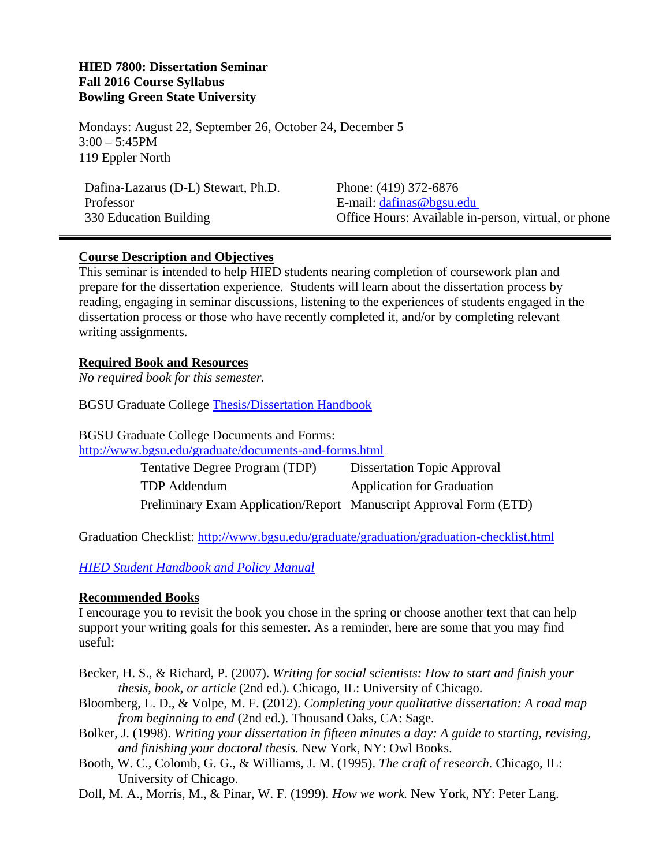#### **HIED 7800: Dissertation Seminar Fall 2016 Course Syllabus Bowling Green State University**

Mondays: August 22, September 26, October 24, December 5  $3:00 - 5:45$ PM 119 Eppler North

Dafina-Lazarus (D-L) Stewart, Ph.D. Professor 330 Education Building

Phone: (419) 372-6876 E-mail: dafinas@bgsu.edu Office Hours: Available in-person, virtual, or phone

#### **Course Description and Objectives**

This seminar is intended to help HIED students nearing completion of coursework plan and prepare for the dissertation experience. Students will learn about the dissertation process by reading, engaging in seminar discussions, listening to the experiences of students engaged in the dissertation process or those who have recently completed it, and/or by completing relevant writing assignments.

#### **Required Book and Resources**

*No required book for this semester.* 

BGSU Graduate College Thesis/Dissertation Handbook

BGSU Graduate College Documents and Forms: http://www.bgsu.edu/graduate/documents-and-forms.html

> Tentative Degree Program (TDP) Dissertation Topic Approval TDP Addendum **Application** for Graduation Preliminary Exam Application/Report Manuscript Approval Form (ETD)

Graduation Checklist: http://www.bgsu.edu/graduate/graduation/graduation-checklist.html

*HIED Student Handbook and Policy Manual*

#### **Recommended Books**

I encourage you to revisit the book you chose in the spring or choose another text that can help support your writing goals for this semester. As a reminder, here are some that you may find useful:

- Becker, H. S., & Richard, P. (2007). *Writing for social scientists: How to start and finish your thesis, book, or article* (2nd ed.)*.* Chicago, IL: University of Chicago.
- Bloomberg, L. D., & Volpe, M. F. (2012). *Completing your qualitative dissertation: A road map from beginning to end* (2nd ed.). Thousand Oaks, CA: Sage.
- Bolker, J. (1998). *Writing your dissertation in fifteen minutes a day: A guide to starting, revising, and finishing your doctoral thesis.* New York, NY: Owl Books.
- Booth, W. C., Colomb, G. G., & Williams, J. M. (1995). *The craft of research.* Chicago, IL: University of Chicago.
- Doll, M. A., Morris, M., & Pinar, W. F. (1999). *How we work.* New York, NY: Peter Lang.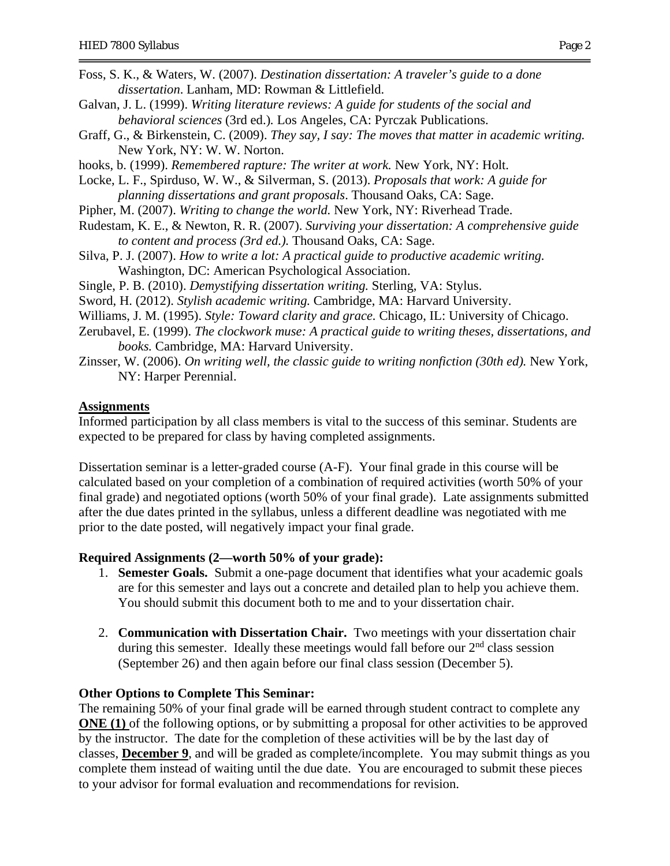- Foss, S. K., & Waters, W. (2007). *Destination dissertation: A traveler's guide to a done dissertation*. Lanham, MD: Rowman & Littlefield.
- Galvan, J. L. (1999). *Writing literature reviews: A guide for students of the social and behavioral sciences* (3rd ed.)*.* Los Angeles, CA: Pyrczak Publications.
- Graff, G., & Birkenstein, C. (2009). *They say, I say: The moves that matter in academic writing.* New York, NY: W. W. Norton.
- hooks, b. (1999). *Remembered rapture: The writer at work.* New York, NY: Holt.
- Locke, L. F., Spirduso, W. W., & Silverman, S. (2013). *Proposals that work: A guide for planning dissertations and grant proposals*. Thousand Oaks, CA: Sage.
- Pipher, M. (2007). *Writing to change the world.* New York, NY: Riverhead Trade.
- Rudestam, K. E., & Newton, R. R. (2007). *Surviving your dissertation: A comprehensive guide to content and process (3rd ed.).* Thousand Oaks, CA: Sage.
- Silva, P. J. (2007). *How to write a lot: A practical guide to productive academic writing.* Washington, DC: American Psychological Association.
- Single, P. B. (2010). *Demystifying dissertation writing.* Sterling, VA: Stylus.
- Sword, H. (2012). *Stylish academic writing.* Cambridge, MA: Harvard University.
- Williams, J. M. (1995). *Style: Toward clarity and grace.* Chicago, IL: University of Chicago.
- Zerubavel, E. (1999). *The clockwork muse: A practical guide to writing theses, dissertations, and books.* Cambridge, MA: Harvard University.
- Zinsser, W. (2006). *On writing well, the classic guide to writing nonfiction (30th ed).* New York, NY: Harper Perennial.

#### **Assignments**

Informed participation by all class members is vital to the success of this seminar. Students are expected to be prepared for class by having completed assignments.

Dissertation seminar is a letter-graded course (A-F). Your final grade in this course will be calculated based on your completion of a combination of required activities (worth 50% of your final grade) and negotiated options (worth 50% of your final grade). Late assignments submitted after the due dates printed in the syllabus, unless a different deadline was negotiated with me prior to the date posted, will negatively impact your final grade.

#### **Required Assignments (2—worth 50% of your grade):**

- 1. **Semester Goals.** Submit a one-page document that identifies what your academic goals are for this semester and lays out a concrete and detailed plan to help you achieve them. You should submit this document both to me and to your dissertation chair.
- 2. **Communication with Dissertation Chair.** Two meetings with your dissertation chair during this semester. Ideally these meetings would fall before our  $2<sup>nd</sup>$  class session (September 26) and then again before our final class session (December 5).

#### **Other Options to Complete This Seminar:**

The remaining 50% of your final grade will be earned through student contract to complete any **ONE (1)** of the following options, or by submitting a proposal for other activities to be approved by the instructor. The date for the completion of these activities will be by the last day of classes, **December 9**, and will be graded as complete/incomplete. You may submit things as you complete them instead of waiting until the due date. You are encouraged to submit these pieces to your advisor for formal evaluation and recommendations for revision.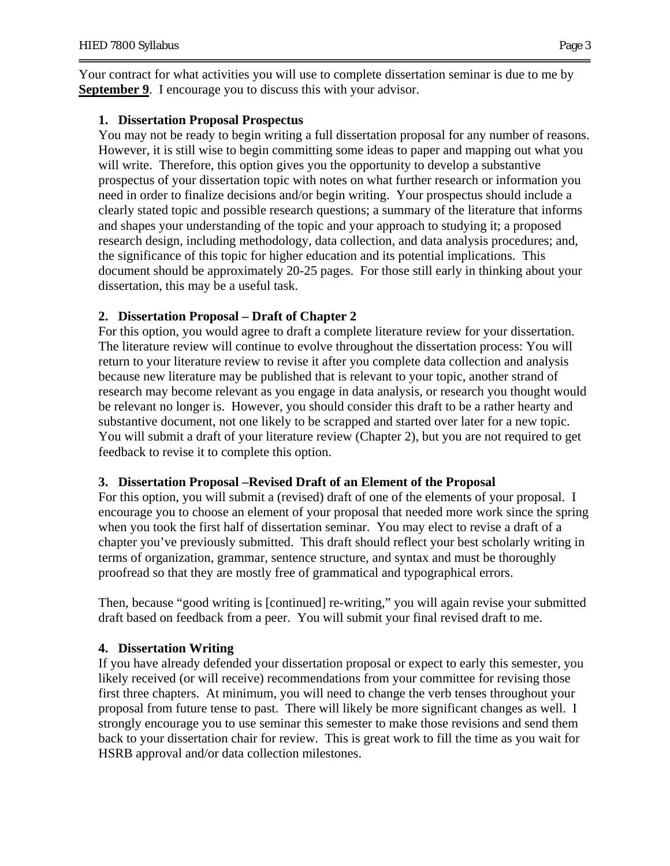Your contract for what activities you will use to complete dissertation seminar is due to me by **September 9.** I encourage you to discuss this with your advisor.

### **1. Dissertation Proposal Prospectus**

You may not be ready to begin writing a full dissertation proposal for any number of reasons. However, it is still wise to begin committing some ideas to paper and mapping out what you will write. Therefore, this option gives you the opportunity to develop a substantive prospectus of your dissertation topic with notes on what further research or information you need in order to finalize decisions and/or begin writing. Your prospectus should include a clearly stated topic and possible research questions; a summary of the literature that informs and shapes your understanding of the topic and your approach to studying it; a proposed research design, including methodology, data collection, and data analysis procedures; and, the significance of this topic for higher education and its potential implications. This document should be approximately 20-25 pages. For those still early in thinking about your dissertation, this may be a useful task.

### **2. Dissertation Proposal – Draft of Chapter 2**

For this option, you would agree to draft a complete literature review for your dissertation. The literature review will continue to evolve throughout the dissertation process: You will return to your literature review to revise it after you complete data collection and analysis because new literature may be published that is relevant to your topic, another strand of research may become relevant as you engage in data analysis, or research you thought would be relevant no longer is. However, you should consider this draft to be a rather hearty and substantive document, not one likely to be scrapped and started over later for a new topic. You will submit a draft of your literature review (Chapter 2), but you are not required to get feedback to revise it to complete this option.

### **3. Dissertation Proposal –Revised Draft of an Element of the Proposal**

For this option, you will submit a (revised) draft of one of the elements of your proposal. I encourage you to choose an element of your proposal that needed more work since the spring when you took the first half of dissertation seminar. You may elect to revise a draft of a chapter you've previously submitted. This draft should reflect your best scholarly writing in terms of organization, grammar, sentence structure, and syntax and must be thoroughly proofread so that they are mostly free of grammatical and typographical errors.

Then, because "good writing is [continued] re-writing," you will again revise your submitted draft based on feedback from a peer. You will submit your final revised draft to me.

### **4. Dissertation Writing**

If you have already defended your dissertation proposal or expect to early this semester, you likely received (or will receive) recommendations from your committee for revising those first three chapters. At minimum, you will need to change the verb tenses throughout your proposal from future tense to past. There will likely be more significant changes as well. I strongly encourage you to use seminar this semester to make those revisions and send them back to your dissertation chair for review. This is great work to fill the time as you wait for HSRB approval and/or data collection milestones.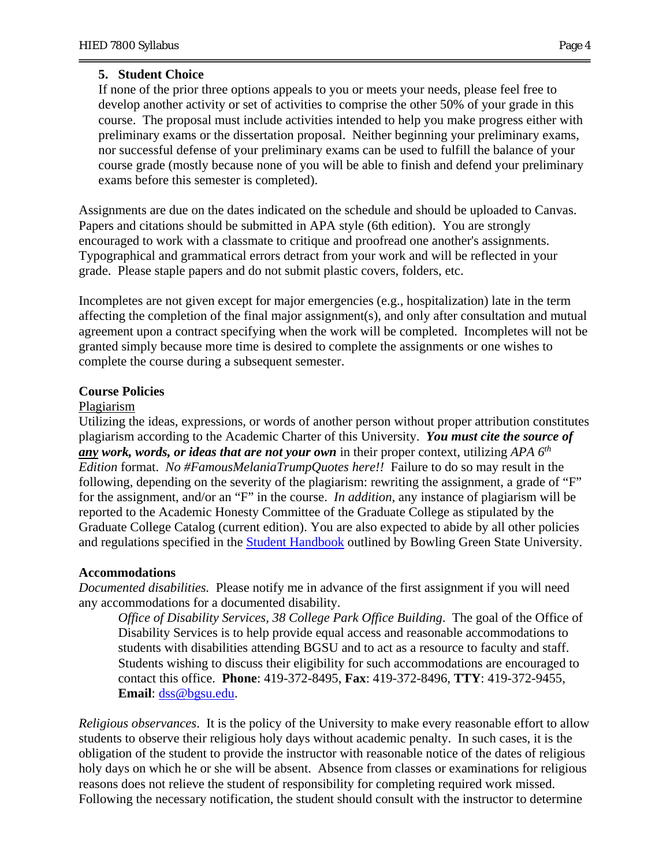### **5. Student Choice**

If none of the prior three options appeals to you or meets your needs, please feel free to develop another activity or set of activities to comprise the other 50% of your grade in this course. The proposal must include activities intended to help you make progress either with preliminary exams or the dissertation proposal. Neither beginning your preliminary exams, nor successful defense of your preliminary exams can be used to fulfill the balance of your course grade (mostly because none of you will be able to finish and defend your preliminary exams before this semester is completed).

Assignments are due on the dates indicated on the schedule and should be uploaded to Canvas. Papers and citations should be submitted in APA style (6th edition). You are strongly encouraged to work with a classmate to critique and proofread one another's assignments. Typographical and grammatical errors detract from your work and will be reflected in your grade. Please staple papers and do not submit plastic covers, folders, etc.

Incompletes are not given except for major emergencies (e.g., hospitalization) late in the term affecting the completion of the final major assignment(s), and only after consultation and mutual agreement upon a contract specifying when the work will be completed. Incompletes will not be granted simply because more time is desired to complete the assignments or one wishes to complete the course during a subsequent semester.

### **Course Policies**

#### Plagiarism

Utilizing the ideas, expressions, or words of another person without proper attribution constitutes plagiarism according to the Academic Charter of this University. *You must cite the source of any work, words, or ideas that are not your own* in their proper context, utilizing *APA 6th Edition* format. *No #FamousMelaniaTrumpQuotes here!!* Failure to do so may result in the following, depending on the severity of the plagiarism: rewriting the assignment, a grade of "F" for the assignment, and/or an "F" in the course. *In addition*, any instance of plagiarism will be reported to the Academic Honesty Committee of the Graduate College as stipulated by the Graduate College Catalog (current edition). You are also expected to abide by all other policies and regulations specified in the Student Handbook outlined by Bowling Green State University.

### **Accommodations**

*Documented disabilities.* Please notify me in advance of the first assignment if you will need any accommodations for a documented disability.

*Office of Disability Services, 38 College Park Office Building*. The goal of the Office of Disability Services is to help provide equal access and reasonable accommodations to students with disabilities attending BGSU and to act as a resource to faculty and staff. Students wishing to discuss their eligibility for such accommodations are encouraged to contact this office. **Phone**: 419-372-8495, **Fax**: 419-372-8496, **TTY**: 419-372-9455, **Email**: dss@bgsu.edu.

*Religious observances*.It is the policy of the University to make every reasonable effort to allow students to observe their religious holy days without academic penalty. In such cases, it is the obligation of the student to provide the instructor with reasonable notice of the dates of religious holy days on which he or she will be absent. Absence from classes or examinations for religious reasons does not relieve the student of responsibility for completing required work missed. Following the necessary notification, the student should consult with the instructor to determine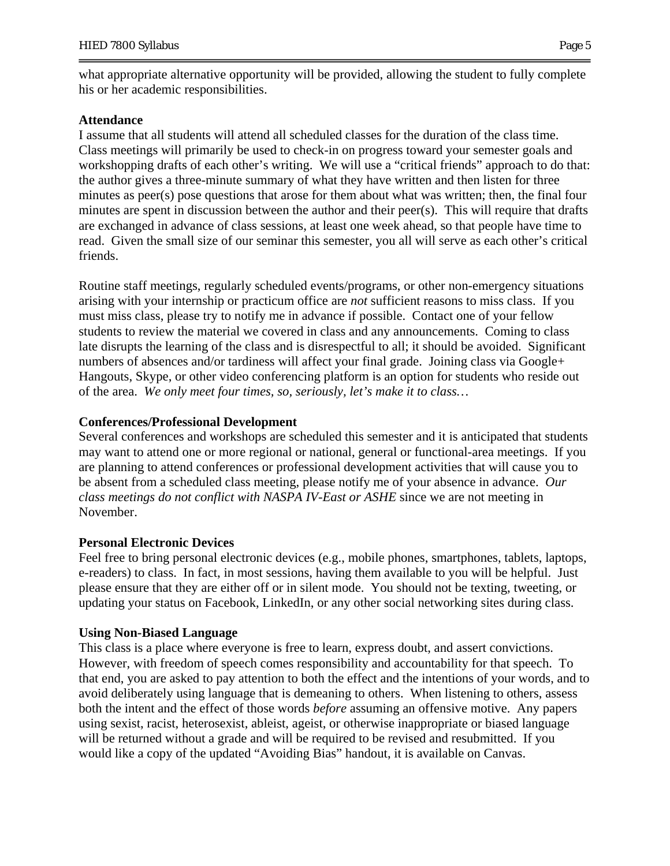what appropriate alternative opportunity will be provided, allowing the student to fully complete his or her academic responsibilities.

#### **Attendance**

I assume that all students will attend all scheduled classes for the duration of the class time. Class meetings will primarily be used to check-in on progress toward your semester goals and workshopping drafts of each other's writing. We will use a "critical friends" approach to do that: the author gives a three-minute summary of what they have written and then listen for three minutes as peer(s) pose questions that arose for them about what was written; then, the final four minutes are spent in discussion between the author and their peer(s). This will require that drafts are exchanged in advance of class sessions, at least one week ahead, so that people have time to read. Given the small size of our seminar this semester, you all will serve as each other's critical friends.

Routine staff meetings, regularly scheduled events/programs, or other non-emergency situations arising with your internship or practicum office are *not* sufficient reasons to miss class. If you must miss class, please try to notify me in advance if possible. Contact one of your fellow students to review the material we covered in class and any announcements. Coming to class late disrupts the learning of the class and is disrespectful to all; it should be avoided. Significant numbers of absences and/or tardiness will affect your final grade. Joining class via Google+ Hangouts, Skype, or other video conferencing platform is an option for students who reside out of the area. *We only meet four times, so, seriously, let's make it to class…* 

### **Conferences/Professional Development**

Several conferences and workshops are scheduled this semester and it is anticipated that students may want to attend one or more regional or national, general or functional-area meetings. If you are planning to attend conferences or professional development activities that will cause you to be absent from a scheduled class meeting, please notify me of your absence in advance. *Our class meetings do not conflict with NASPA IV-East or ASHE* since we are not meeting in November.

### **Personal Electronic Devices**

Feel free to bring personal electronic devices (e.g., mobile phones, smartphones, tablets, laptops, e-readers) to class. In fact, in most sessions, having them available to you will be helpful. Just please ensure that they are either off or in silent mode. You should not be texting, tweeting, or updating your status on Facebook, LinkedIn, or any other social networking sites during class.

### **Using Non-Biased Language**

This class is a place where everyone is free to learn, express doubt, and assert convictions. However, with freedom of speech comes responsibility and accountability for that speech. To that end, you are asked to pay attention to both the effect and the intentions of your words, and to avoid deliberately using language that is demeaning to others. When listening to others, assess both the intent and the effect of those words *before* assuming an offensive motive. Any papers using sexist, racist, heterosexist, ableist, ageist, or otherwise inappropriate or biased language will be returned without a grade and will be required to be revised and resubmitted. If you would like a copy of the updated "Avoiding Bias" handout, it is available on Canvas.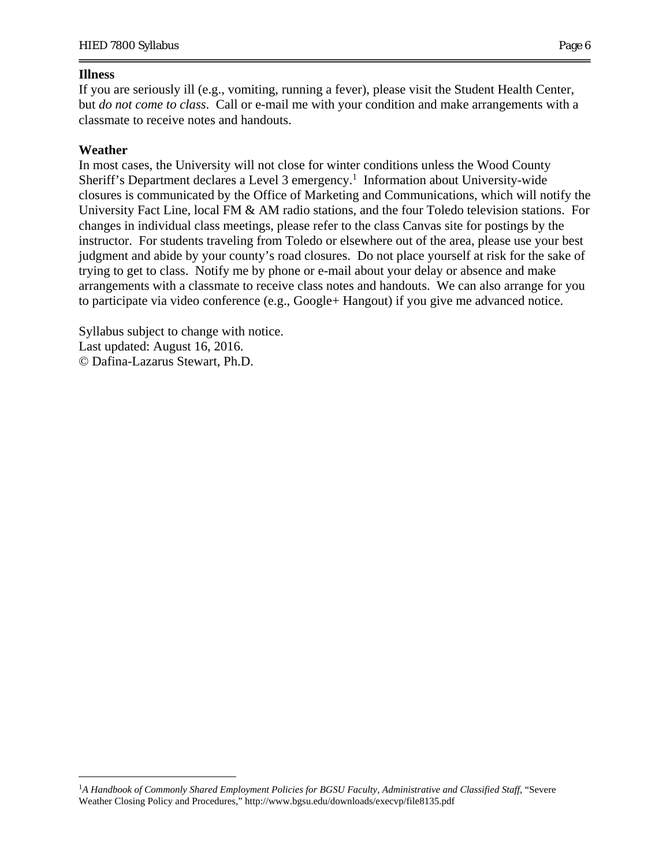### **Illness**

If you are seriously ill (e.g., vomiting, running a fever), please visit the Student Health Center, but *do not come to class*. Call or e-mail me with your condition and make arrangements with a classmate to receive notes and handouts.

## **Weather**

 $\overline{a}$ 

In most cases, the University will not close for winter conditions unless the Wood County Sheriff's Department declares a Level 3 emergency.<sup>1</sup> Information about University-wide closures is communicated by the Office of Marketing and Communications, which will notify the University Fact Line, local FM & AM radio stations, and the four Toledo television stations. For changes in individual class meetings, please refer to the class Canvas site for postings by the instructor. For students traveling from Toledo or elsewhere out of the area, please use your best judgment and abide by your county's road closures. Do not place yourself at risk for the sake of trying to get to class. Notify me by phone or e-mail about your delay or absence and make arrangements with a classmate to receive class notes and handouts. We can also arrange for you to participate via video conference (e.g., Google+ Hangout) if you give me advanced notice.

Syllabus subject to change with notice. Last updated: August 16, 2016. © Dafina-Lazarus Stewart, Ph.D.

<sup>&</sup>lt;sup>1</sup>A Handbook of Commonly Shared Employment Policies for BGSU Faculty, Administrative and Classified Staff, "Severe Weather Closing Policy and Procedures," http://www.bgsu.edu/downloads/execvp/file8135.pdf